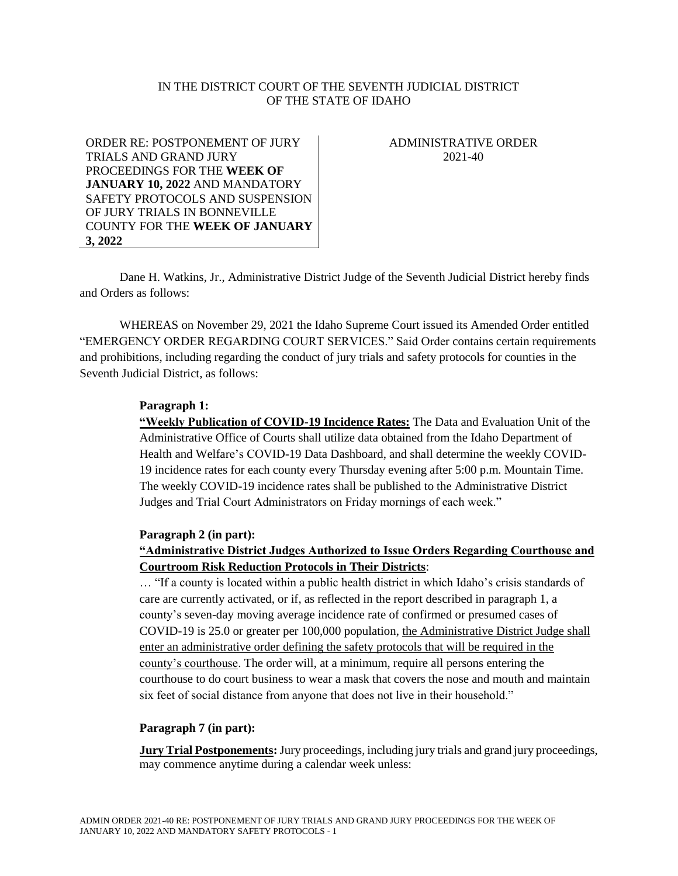## IN THE DISTRICT COURT OF THE SEVENTH JUDICIAL DISTRICT OF THE STATE OF IDAHO

ORDER RE: POSTPONEMENT OF JURY TRIALS AND GRAND JURY PROCEEDINGS FOR THE **WEEK OF JANUARY 10, 2022** AND MANDATORY SAFETY PROTOCOLS AND SUSPENSION OF JURY TRIALS IN BONNEVILLE COUNTY FOR THE **WEEK OF JANUARY 3, 2022**

ADMINISTRATIVE ORDER 2021-40

Dane H. Watkins, Jr., Administrative District Judge of the Seventh Judicial District hereby finds and Orders as follows:

WHEREAS on November 29, 2021 the Idaho Supreme Court issued its Amended Order entitled "EMERGENCY ORDER REGARDING COURT SERVICES." Said Order contains certain requirements and prohibitions, including regarding the conduct of jury trials and safety protocols for counties in the Seventh Judicial District, as follows:

### **Paragraph 1:**

**"Weekly Publication of COVID-19 Incidence Rates:** The Data and Evaluation Unit of the Administrative Office of Courts shall utilize data obtained from the Idaho Department of Health and Welfare's COVID-19 Data Dashboard, and shall determine the weekly COVID-19 incidence rates for each county every Thursday evening after 5:00 p.m. Mountain Time. The weekly COVID-19 incidence rates shall be published to the Administrative District Judges and Trial Court Administrators on Friday mornings of each week."

#### **Paragraph 2 (in part):**

# **"Administrative District Judges Authorized to Issue Orders Regarding Courthouse and Courtroom Risk Reduction Protocols in Their Districts**:

… "If a county is located within a public health district in which Idaho's crisis standards of care are currently activated, or if, as reflected in the report described in paragraph 1, a county's seven-day moving average incidence rate of confirmed or presumed cases of COVID-19 is 25.0 or greater per 100,000 population, the Administrative District Judge shall enter an administrative order defining the safety protocols that will be required in the county's courthouse. The order will, at a minimum, require all persons entering the courthouse to do court business to wear a mask that covers the nose and mouth and maintain six feet of social distance from anyone that does not live in their household."

#### **Paragraph 7 (in part):**

**Jury Trial Postponements:** Jury proceedings, including jury trials and grand jury proceedings, may commence anytime during a calendar week unless: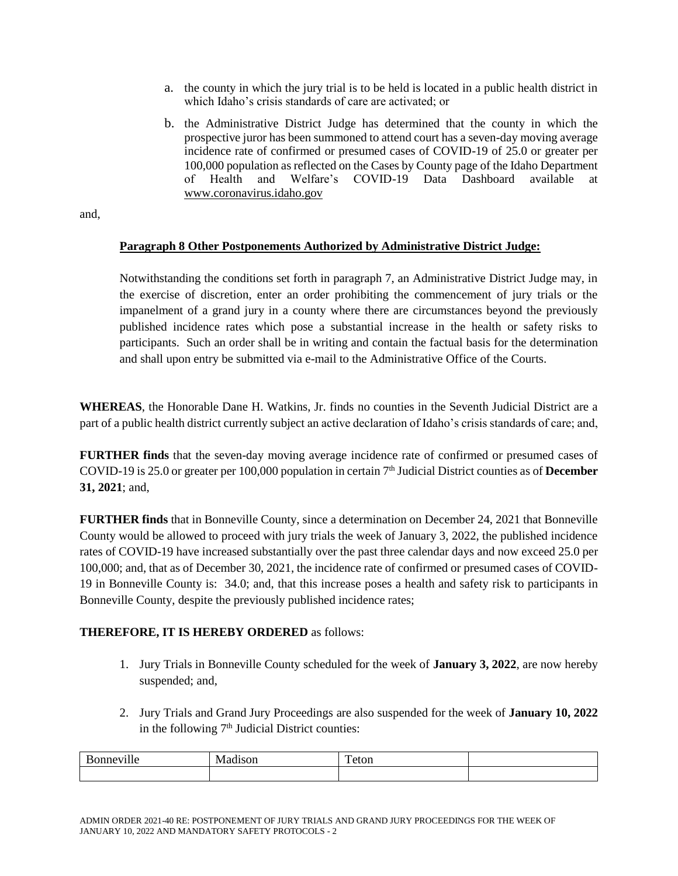- a. the county in which the jury trial is to be held is located in a public health district in which Idaho's crisis standards of care are activated; or
- b. the Administrative District Judge has determined that the county in which the prospective juror has been summoned to attend court has a seven-day moving average incidence rate of confirmed or presumed cases of COVID-19 of 25.0 or greater per 100,000 population as reflected on the Cases by County page of the Idaho Department of Health and Welfare's COVID-19 Data Dashboard available at [www.coronavirus.idaho.gov](http://www.coronavirus.idaho.gov/)

and,

## **Paragraph 8 Other Postponements Authorized by Administrative District Judge:**

Notwithstanding the conditions set forth in paragraph 7, an Administrative District Judge may, in the exercise of discretion, enter an order prohibiting the commencement of jury trials or the impanelment of a grand jury in a county where there are circumstances beyond the previously published incidence rates which pose a substantial increase in the health or safety risks to participants. Such an order shall be in writing and contain the factual basis for the determination and shall upon entry be submitted via e-mail to the Administrative Office of the Courts.

**WHEREAS**, the Honorable Dane H. Watkins, Jr. finds no counties in the Seventh Judicial District are a part of a public health district currently subject an active declaration of Idaho's crisis standards of care; and,

**FURTHER finds** that the seven-day moving average incidence rate of confirmed or presumed cases of COVID-19 is 25.0 or greater per 100,000 population in certain 7 th Judicial District counties as of **December 31, 2021**; and,

**FURTHER finds** that in Bonneville County, since a determination on December 24, 2021 that Bonneville County would be allowed to proceed with jury trials the week of January 3, 2022, the published incidence rates of COVID-19 have increased substantially over the past three calendar days and now exceed 25.0 per 100,000; and, that as of December 30, 2021, the incidence rate of confirmed or presumed cases of COVID-19 in Bonneville County is: 34.0; and, that this increase poses a health and safety risk to participants in Bonneville County, despite the previously published incidence rates;

# **THEREFORE, IT IS HEREBY ORDERED** as follows:

- 1. Jury Trials in Bonneville County scheduled for the week of **January 3, 2022**, are now hereby suspended; and,
- 2. Jury Trials and Grand Jury Proceedings are also suspended for the week of **January 10, 2022**  in the following  $7<sup>th</sup>$  Judicial District counties:

| . | ۰<br>IV. | —<br>v.i<br>----- |  |
|---|----------|-------------------|--|
|   |          |                   |  |